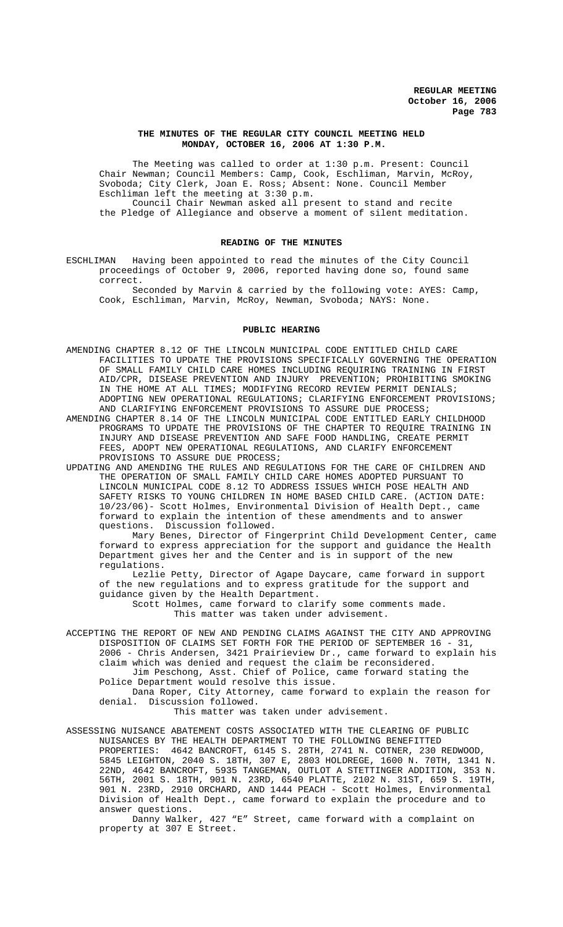## **THE MINUTES OF THE REGULAR CITY COUNCIL MEETING HELD MONDAY, OCTOBER 16, 2006 AT 1:30 P.M.**

The Meeting was called to order at 1:30 p.m. Present: Council Chair Newman; Council Members: Camp, Cook, Eschliman, Marvin, McRoy, Svoboda; City Clerk, Joan E. Ross; Absent: None. Council Member Eschliman left the meeting at 3:30 p.m.

Council Chair Newman asked all present to stand and recite the Pledge of Allegiance and observe a moment of silent meditation.

### **READING OF THE MINUTES**

ESCHLIMAN Having been appointed to read the minutes of the City Council proceedings of October 9, 2006, reported having done so, found same correct.

Seconded by Marvin & carried by the following vote: AYES: Camp, Cook, Eschliman, Marvin, McRoy, Newman, Svoboda; NAYS: None.

### **PUBLIC HEARING**

- AMENDING CHAPTER 8.12 OF THE LINCOLN MUNICIPAL CODE ENTITLED CHILD CARE FACILITIES TO UPDATE THE PROVISIONS SPECIFICALLY GOVERNING THE OPERATION OF SMALL FAMILY CHILD CARE HOMES INCLUDING REQUIRING TRAINING IN FIRST AID/CPR, DISEASE PREVENTION AND INJURY PREVENTION; PROHIBITING SMOKING IN THE HOME AT ALL TIMES; MODIFYING RECORD REVIEW PERMIT DENIALS; ADOPTING NEW OPERATIONAL REGULATIONS; CLARIFYING ENFORCEMENT PROVISIONS; AND CLARIFYING ENFORCEMENT PROVISIONS TO ASSURE DUE PROCESS;
- AMENDING CHAPTER 8.14 OF THE LINCOLN MUNICIPAL CODE ENTITLED EARLY CHILDHOOD PROGRAMS TO UPDATE THE PROVISIONS OF THE CHAPTER TO REQUIRE TRAINING IN INJURY AND DISEASE PREVENTION AND SAFE FOOD HANDLING, CREATE PERMIT FEES, ADOPT NEW OPERATIONAL REGULATIONS, AND CLARIFY ENFORCEMENT PROVISIONS TO ASSURE DUE PROCESS;
- UPDATING AND AMENDING THE RULES AND REGULATIONS FOR THE CARE OF CHILDREN AND THE OPERATION OF SMALL FAMILY CHILD CARE HOMES ADOPTED PURSUANT TO LINCOLN MUNICIPAL CODE 8.12 TO ADDRESS ISSUES WHICH POSE HEALTH AND SAFETY RISKS TO YOUNG CHILDREN IN HOME BASED CHILD CARE. (ACTION DATE: 10/23/06)- Scott Holmes, Environmental Division of Health Dept., came forward to explain the intention of these amendments and to answer questions. Discussion followed.

Mary Benes, Director of Fingerprint Child Development Center, came forward to express appreciation for the support and guidance the Health Department gives her and the Center and is in support of the new regulations.

Lezlie Petty, Director of Agape Daycare, came forward in support of the new regulations and to express gratitude for the support and guidance given by the Health Department.

Scott Holmes, came forward to clarify some comments made. This matter was taken under advisement.

ACCEPTING THE REPORT OF NEW AND PENDING CLAIMS AGAINST THE CITY AND APPROVING DISPOSITION OF CLAIMS SET FORTH FOR THE PERIOD OF SEPTEMBER 16 - 31, 2006 - Chris Andersen, 3421 Prairieview Dr., came forward to explain his claim which was denied and request the claim be reconsidered. Jim Peschong, Asst. Chief of Police, came forward stating the

Police Department would resolve this issue. Dana Roper, City Attorney, came forward to explain the reason for denial. Discussion followed.

This matter was taken under advisement.

ASSESSING NUISANCE ABATEMENT COSTS ASSOCIATED WITH THE CLEARING OF PUBLIC NUISANCES BY THE HEALTH DEPARTMENT TO THE FOLLOWING BENEFITTED PROPERTIES: 4642 BANCROFT, 6145 S. 28TH, 2741 N. COTNER, 230 REDWOOD, 5845 LEIGHTON, 2040 S. 18TH, 307 E, 2803 HOLDREGE, 1600 N. 70TH, 1341 N. 22ND, 4642 BANCROFT, 5935 TANGEMAN, OUTLOT A STETTINGER ADDITION, 353 N. 56TH, 2001 S. 18TH, 901 N. 23RD, 6540 PLATTE, 2102 N. 31ST, 659 S. 19TH, 901 N. 23RD, 2910 ORCHARD, AND 1444 PEACH - Scott Holmes, Environmental Division of Health Dept., came forward to explain the procedure and to answer questions.

Danny Walker, 427 "E" Street, came forward with a complaint on property at 307 E Street.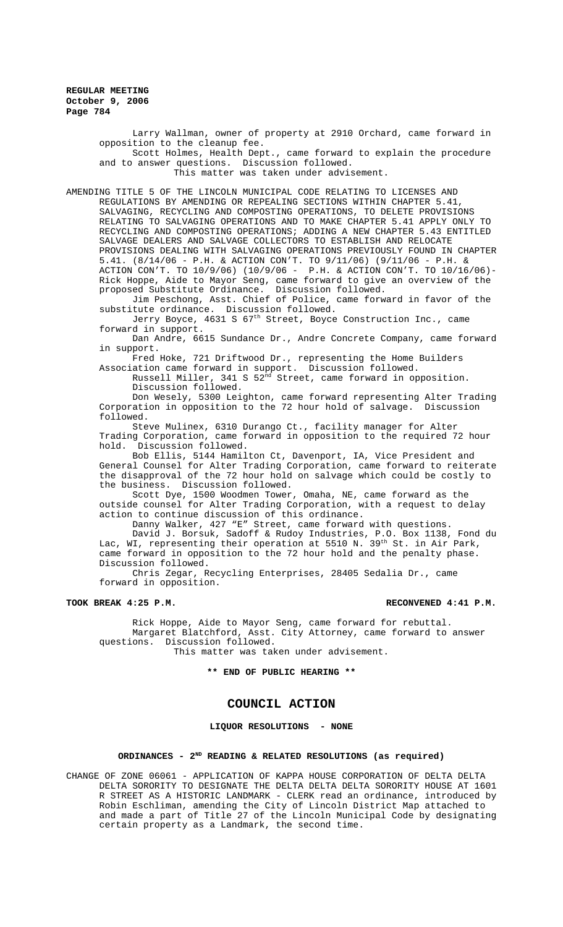Larry Wallman, owner of property at 2910 Orchard, came forward in opposition to the cleanup fee. Scott Holmes, Health Dept., came forward to explain the procedure

and to answer questions. Discussion followed. This matter was taken under advisement.

AMENDING TITLE 5 OF THE LINCOLN MUNICIPAL CODE RELATING TO LICENSES AND

REGULATIONS BY AMENDING OR REPEALING SECTIONS WITHIN CHAPTER 5.41, SALVAGING, RECYCLING AND COMPOSTING OPERATIONS, TO DELETE PROVISIONS RELATING TO SALVAGING OPERATIONS AND TO MAKE CHAPTER 5.41 APPLY ONLY TO RECYCLING AND COMPOSTING OPERATIONS; ADDING A NEW CHAPTER 5.43 ENTITLED SALVAGE DEALERS AND SALVAGE COLLECTORS TO ESTABLISH AND RELOCATE PROVISIONS DEALING WITH SALVAGING OPERATIONS PREVIOUSLY FOUND IN CHAPTER 5.41. (8/14/06 - P.H. & ACTION CON'T. TO 9/11/06) (9/11/06 - P.H. & ACTION CON'T. TO 10/9/06) (10/9/06 - P.H. & ACTION CON'T. TO 10/16/06)- Rick Hoppe, Aide to Mayor Seng, came forward to give an overview of the proposed Substitute Ordinance. Discussion followed.

Jim Peschong, Asst. Chief of Police, came forward in favor of the substitute ordinance. Discussion followed.

Jerry Boyce, 4631 S 67<sup>th</sup> Street, Boyce Construction Inc., came forward in support.

Dan Andre, 6615 Sundance Dr., Andre Concrete Company, came forward in support.

Fred Hoke, 721 Driftwood Dr., representing the Home Builders Association came forward in support. Discussion followed.

Russell Miller, 341 S 52<sup>nd</sup> Street, came forward in opposition. Discussion followed.

Don Wesely, 5300 Leighton, came forward representing Alter Trading Corporation in opposition to the 72 hour hold of salvage. Discussion followed.

Steve Mulinex, 6310 Durango Ct., facility manager for Alter Trading Corporation, came forward in opposition to the required 72 hour hold. Discussion followed.

Bob Ellis, 5144 Hamilton Ct, Davenport, IA, Vice President and General Counsel for Alter Trading Corporation, came forward to reiterate the disapproval of the 72 hour hold on salvage which could be costly to the business. Discussion followed.

Scott Dye, 1500 Woodmen Tower, Omaha, NE, came forward as the outside counsel for Alter Trading Corporation, with a request to delay action to continue discussion of this ordinance.

Danny Walker, 427 "E" Street, came forward with questions.

David J. Borsuk, Sadoff & Rudoy Industries, P.O. Box 1138, Fond du Lac, WI, representing their operation at 5510 N. 39th St. in Air Park, came forward in opposition to the 72 hour hold and the penalty phase. Discussion followed.

Chris Zegar, Recycling Enterprises, 28405 Sedalia Dr., came forward in opposition.

# **TOOK BREAK 4:25 P.M. RECONVENED 4:41 P.M.**

Rick Hoppe, Aide to Mayor Seng, came forward for rebuttal. Margaret Blatchford, Asst. City Attorney, came forward to answer questions. Discussion followed.

This matter was taken under advisement.

**\*\* END OF PUBLIC HEARING \*\***

# **COUNCIL ACTION**

**LIQUOR RESOLUTIONS - NONE**

## **ORDINANCES - 2ND READING & RELATED RESOLUTIONS (as required)**

CHANGE OF ZONE 06061 - APPLICATION OF KAPPA HOUSE CORPORATION OF DELTA DELTA DELTA SORORITY TO DESIGNATE THE DELTA DELTA DELTA SORORITY HOUSE AT 1601 R STREET AS A HISTORIC LANDMARK - CLERK read an ordinance, introduced by Robin Eschliman, amending the City of Lincoln District Map attached to and made a part of Title 27 of the Lincoln Municipal Code by designating certain property as a Landmark, the second time.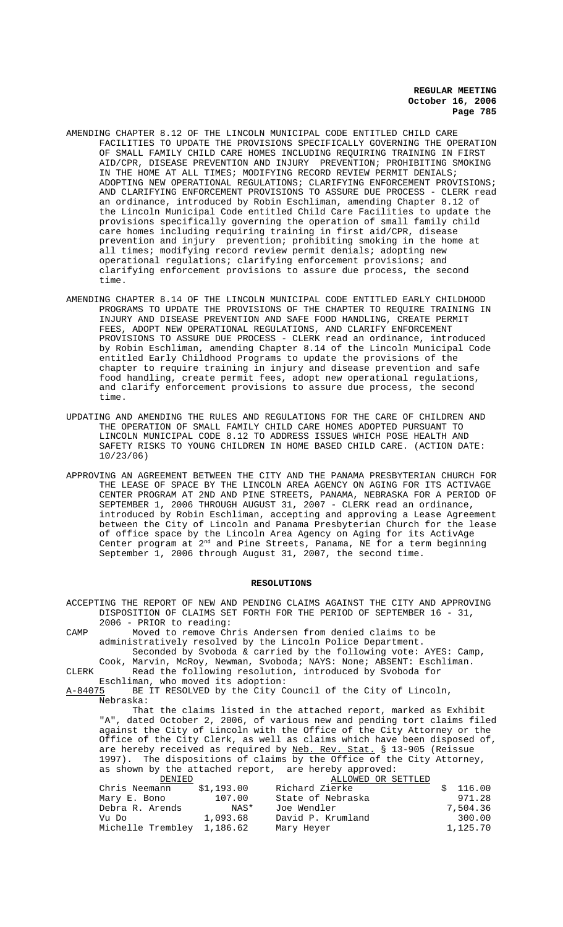- AMENDING CHAPTER 8.12 OF THE LINCOLN MUNICIPAL CODE ENTITLED CHILD CARE FACILITIES TO UPDATE THE PROVISIONS SPECIFICALLY GOVERNING THE OPERATION OF SMALL FAMILY CHILD CARE HOMES INCLUDING REQUIRING TRAINING IN FIRST AID/CPR, DISEASE PREVENTION AND INJURY PREVENTION; PROHIBITING SMOKING IN THE HOME AT ALL TIMES; MODIFYING RECORD REVIEW PERMIT DENIALS; ADOPTING NEW OPERATIONAL REGULATIONS; CLARIFYING ENFORCEMENT PROVISIONS; AND CLARIFYING ENFORCEMENT PROVISIONS TO ASSURE DUE PROCESS - CLERK read an ordinance, introduced by Robin Eschliman, amending Chapter 8.12 of the Lincoln Municipal Code entitled Child Care Facilities to update the provisions specifically governing the operation of small family child care homes including requiring training in first aid/CPR, disease prevention and injury prevention; prohibiting smoking in the home at all times; modifying record review permit denials; adopting new operational regulations; clarifying enforcement provisions; and clarifying enforcement provisions to assure due process, the second time.
- AMENDING CHAPTER 8.14 OF THE LINCOLN MUNICIPAL CODE ENTITLED EARLY CHILDHOOD PROGRAMS TO UPDATE THE PROVISIONS OF THE CHAPTER TO REQUIRE TRAINING IN INJURY AND DISEASE PREVENTION AND SAFE FOOD HANDLING, CREATE PERMIT FEES, ADOPT NEW OPERATIONAL REGULATIONS, AND CLARIFY ENFORCEMENT PROVISIONS TO ASSURE DUE PROCESS - CLERK read an ordinance, introduced by Robin Eschliman, amending Chapter 8.14 of the Lincoln Municipal Code entitled Early Childhood Programs to update the provisions of the chapter to require training in injury and disease prevention and safe food handling, create permit fees, adopt new operational regulations, and clarify enforcement provisions to assure due process, the second time.
- UPDATING AND AMENDING THE RULES AND REGULATIONS FOR THE CARE OF CHILDREN AND THE OPERATION OF SMALL FAMILY CHILD CARE HOMES ADOPTED PURSUANT TO LINCOLN MUNICIPAL CODE 8.12 TO ADDRESS ISSUES WHICH POSE HEALTH AND SAFETY RISKS TO YOUNG CHILDREN IN HOME BASED CHILD CARE. (ACTION DATE: 10/23/06)
- APPROVING AN AGREEMENT BETWEEN THE CITY AND THE PANAMA PRESBYTERIAN CHURCH FOR THE LEASE OF SPACE BY THE LINCOLN AREA AGENCY ON AGING FOR ITS ACTIVAGE CENTER PROGRAM AT 2ND AND PINE STREETS, PANAMA, NEBRASKA FOR A PERIOD OF SEPTEMBER 1, 2006 THROUGH AUGUST 31, 2007 - CLERK read an ordinance, introduced by Robin Eschliman, accepting and approving a Lease Agreement between the City of Lincoln and Panama Presbyterian Church for the lease of office space by the Lincoln Area Agency on Aging for its ActivAge Center program at 2<sup>nd</sup> and Pine Streets, Panama, NE for a term beginning September 1, 2006 through August 31, 2007, the second time.

## **RESOLUTIONS**

ACCEPTING THE REPORT OF NEW AND PENDING CLAIMS AGAINST THE CITY AND APPROVING DISPOSITION OF CLAIMS SET FORTH FOR THE PERIOD OF SEPTEMBER 16 - 31, 2006 - PRIOR to reading: CAMP Moved to remove Chris Andersen from denied claims to be administratively resolved by the Lincoln Police Department. Seconded by Svoboda & carried by the following vote: AYES: Camp, Cook, Marvin, McRoy, Newman, Svoboda; NAYS: None; ABSENT: Eschliman. CLERK Read the following resolution, introduced by Svoboda for Eschliman, who moved its adoption:<br>A-84075 BE IT RESOLVED by the City C BE IT RESOLVED by the City Council of the City of Lincoln, Nebraska: That the claims listed in the attached report, marked as Exhibit "A", dated October 2, 2006, of various new and pending tort claims filed against the City of Lincoln with the Office of the City Attorney or the Office of the City Clerk, as well as claims which have been disposed of, are hereby received as required by Neb. Rev. Stat. § 13-905 (Reissue 1997). The dispositions of claims by the Office of the City Attorney, as shown by the attached report, are hereby approved:<br>DENIED 1.1.1000 0R S ALLOWED OR SETTLED<br>Richard Zierke Chris Neemann \$1,193.00 Richard Zierke \$ 116.00<br>Mary E. Bono 107.00 State of Nebraska \$ 971.28 Mary E. Bono 107.00 State of Nebraska 971.28 Debra R. Arends NAS\* Joe Wendler 7,504.36 Vu Do 1,093.68 David P. Krumland 300.00<br>Michelle Trembley 1,186.62 Mary Heyer 1,125.70 Michelle Trembley 1,186.62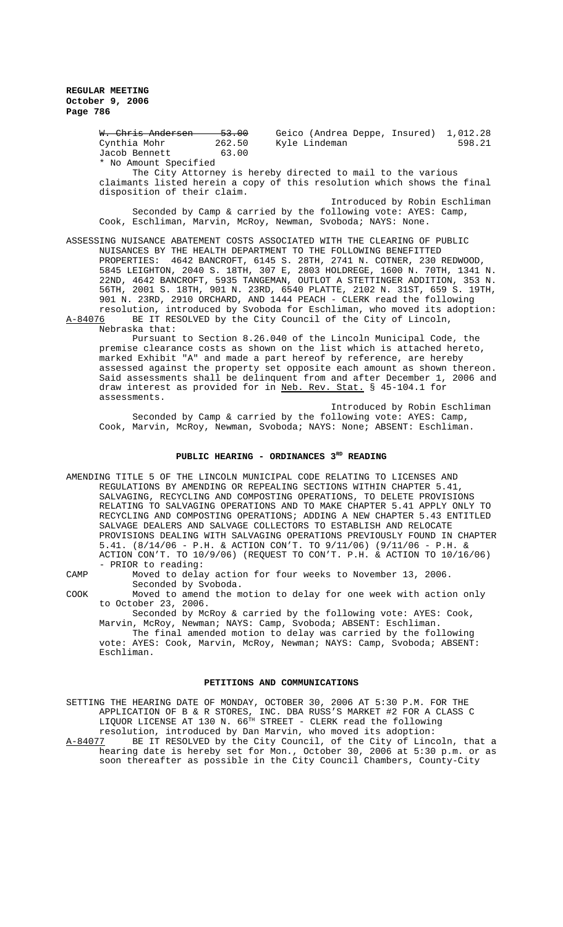> W. Chris Andersen 53.00 Geico (Andrea Deppe, Insured) 1,012.28<br>Cynthia Mohr 262.50 Kyle Lindeman 598.21 Cynthia Mohr 262.50 Kyle Lindeman 598.21 Jacob Bennett 63.00 \* No Amount Specified The City Attorney is hereby directed to mail to the various claimants listed herein a copy of this resolution which shows the final disposition of their claim.

Introduced by Robin Eschliman Seconded by Camp & carried by the following vote: AYES: Camp, Cook, Eschliman, Marvin, McRoy, Newman, Svoboda; NAYS: None.

ASSESSING NUISANCE ABATEMENT COSTS ASSOCIATED WITH THE CLEARING OF PUBLIC NUISANCES BY THE HEALTH DEPARTMENT TO THE FOLLOWING BENEFITTED PROPERTIES: 4642 BANCROFT, 6145 S. 28TH, 2741 N. COTNER, 230 REDWOOD, 5845 LEIGHTON, 2040 S. 18TH, 307 E, 2803 HOLDREGE, 1600 N. 70TH, 1341 N. 22ND, 4642 BANCROFT, 5935 TANGEMAN, OUTLOT A STETTINGER ADDITION, 353 N. 56TH, 2001 S. 18TH, 901 N. 23RD, 6540 PLATTE, 2102 N. 31ST, 659 S. 19TH, 901 N. 23RD, 2910 ORCHARD, AND 1444 PEACH - CLERK read the following resolution, introduced by Svoboda for Eschliman, who moved its adoption:

A-84076 BE IT RESOLVED by the City Council of the City of Lincoln, Nebraska that:

Pursuant to Section 8.26.040 of the Lincoln Municipal Code, the premise clearance costs as shown on the list which is attached hereto, marked Exhibit "A" and made a part hereof by reference, are hereby assessed against the property set opposite each amount as shown thereon. Said assessments shall be delinquent from and after December 1, 2006 and draw interest as provided for in Neb. Rev. Stat. § 45-104.1 for assessments.

Introduced by Robin Eschliman Seconded by Camp & carried by the following vote: AYES: Camp, Cook, Marvin, McRoy, Newman, Svoboda; NAYS: None; ABSENT: Eschliman.

## PUBLIC HEARING - ORDINANCES 3<sup>RD</sup> READING

AMENDING TITLE 5 OF THE LINCOLN MUNICIPAL CODE RELATING TO LICENSES AND REGULATIONS BY AMENDING OR REPEALING SECTIONS WITHIN CHAPTER 5.41, SALVAGING, RECYCLING AND COMPOSTING OPERATIONS, TO DELETE PROVISIONS RELATING TO SALVAGING OPERATIONS AND TO MAKE CHAPTER 5.41 APPLY ONLY TO RECYCLING AND COMPOSTING OPERATIONS; ADDING A NEW CHAPTER 5.43 ENTITLED SALVAGE DEALERS AND SALVAGE COLLECTORS TO ESTABLISH AND RELOCATE PROVISIONS DEALING WITH SALVAGING OPERATIONS PREVIOUSLY FOUND IN CHAPTER 5.41. (8/14/06 - P.H. & ACTION CON'T. TO 9/11/06) (9/11/06 - P.H. & ACTION CON'T. TO 10/9/06) (REQUEST TO CON'T. P.H. & ACTION TO 10/16/06) - PRIOR to reading:

Eschliman.

CAMP Moved to delay action for four weeks to November 13, 2006. Seconded by Svoboda.

COOK Moved to amend the motion to delay for one week with action only to October 23, 2006.

Seconded by McRoy & carried by the following vote: AYES: Cook, Marvin, McRoy, Newman; NAYS: Camp, Svoboda; ABSENT: Eschliman. The final amended motion to delay was carried by the following vote: AYES: Cook, Marvin, McRoy, Newman; NAYS: Camp, Svoboda; ABSENT:

#### **PETITIONS AND COMMUNICATIONS**

SETTING THE HEARING DATE OF MONDAY, OCTOBER 30, 2006 AT 5:30 P.M. FOR THE APPLICATION OF B & R STORES, INC. DBA RUSS'S MARKET #2 FOR A CLASS C <code>LIQUOR</code> <code>LICENSE AT 130 N. 66 $^{\text{\tiny{TH}}}$  STREET - CLERK read the following</code> resolution, introduced by Dan Marvin, who moved its adoption:<br>A-84077 BE IT RESOLVED by the City Council, of the City of Linc BE IT RESOLVED by the City Council, of the City of Lincoln, that a hearing date is hereby set for Mon., October 30, 2006 at 5:30 p.m. or as

soon thereafter as possible in the City Council Chambers, County-City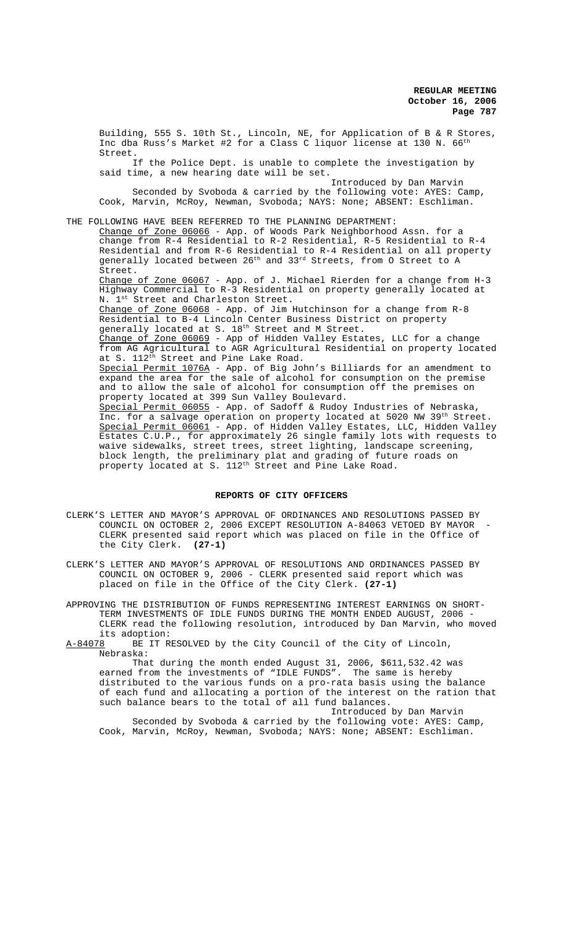Building, 555 S. 10th St., Lincoln, NE, for Application of B & R Stores, Inc dba Russ's Market #2 for a Class C liquor license at 130 N.  $66^{\text{th}}$ Street.

 If the Police Dept. is unable to complete the investigation by said time, a new hearing date will be set.

Introduced by Dan Marvin Seconded by Svoboda & carried by the following vote: AYES: Camp, Cook, Marvin, McRoy, Newman, Svoboda; NAYS: None; ABSENT: Eschliman.

THE FOLLOWING HAVE BEEN REFERRED TO THE PLANNING DEPARTMENT:

Change of Zone 06066 - App. of Woods Park Neighborhood Assn. for a change from R-4 Residential to R-2 Residential, R-5 Residential to R-4 Residential and from R-6 Residential to R-4 Residential on all property generally located between 26th and 33rd Streets, from O Street to A Street.

Change of Zone 06067 - App. of J. Michael Rierden for a change from H-3 Highway Commercial to R-3 Residential on property generally located at N. 1<sup>st</sup> Street and Charleston Street.

Change of Zone 06068 - App. of Jim Hutchinson for a change from R-8 Residential to B-4 Lincoln Center Business District on property generally located at S. 18<sup>th</sup> Street and M Street.

Change of Zone 06069 - App of Hidden Valley Estates, LLC for a change from AG Agricultural to AGR Agricultural Residential on property located at S. 112<sup>th</sup> Street and Pine Lake Road.

Special Permit 1076A - App. of Big John's Billiards for an amendment to expand the area for the sale of alcohol for consumption on the premise and to allow the sale of alcohol for consumption off the premises on property located at 399 Sun Valley Boulevard.

Special Permit 06055 - App. of Sadoff & Rudoy Industries of Nebraska, Inc. for a salvage operation on property located at 5020 NW 39<sup>th</sup> Street. Special Permit 06061 - App. of Hidden Valley Estates, LLC, Hidden Valley Estates C.U.P., for approximately 26 single family lots with requests to waive sidewalks, street trees, street lighting, landscape screening, block length, the preliminary plat and grading of future roads on property located at S. 112<sup>th</sup> Street and Pine Lake Road.

#### **REPORTS OF CITY OFFICERS**

- CLERK'S LETTER AND MAYOR'S APPROVAL OF ORDINANCES AND RESOLUTIONS PASSED BY COUNCIL ON OCTOBER 2, 2006 EXCEPT RESOLUTION A-84063 VETOED BY MAYOR CLERK presented said report which was placed on file in the Office of the City Clerk. **(27-1)**
- CLERK'S LETTER AND MAYOR'S APPROVAL OF RESOLUTIONS AND ORDINANCES PASSED BY COUNCIL ON OCTOBER 9, 2006 - CLERK presented said report which was placed on file in the Office of the City Clerk. **(27-1)**

APPROVING THE DISTRIBUTION OF FUNDS REPRESENTING INTEREST EARNINGS ON SHORT-TERM INVESTMENTS OF IDLE FUNDS DURING THE MONTH ENDED AUGUST, 2006 -CLERK read the following resolution, introduced by Dan Marvin, who moved

its adoption:<br><u>A-84078</u> BE IT R BE IT RESOLVED by the City Council of the City of Lincoln, Nebraska:

That during the month ended August 31, 2006, \$611,532.42 was earned from the investments of "IDLE FUNDS". The same is hereby distributed to the various funds on a pro-rata basis using the balance of each fund and allocating a portion of the interest on the ration that such balance bears to the total of all fund balances.

Introduced by Dan Marvin Seconded by Svoboda & carried by the following vote: AYES: Camp, Cook, Marvin, McRoy, Newman, Svoboda; NAYS: None; ABSENT: Eschliman.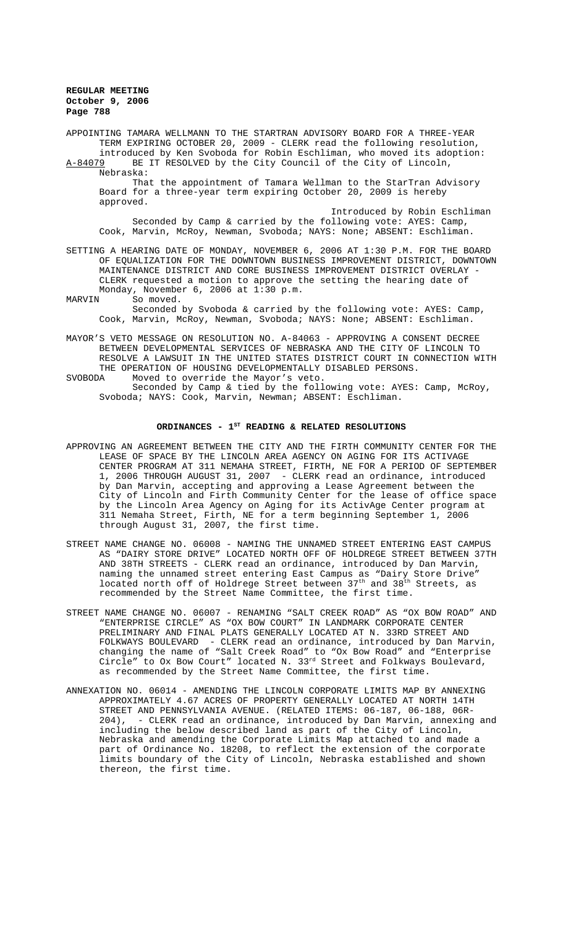APPOINTING TAMARA WELLMANN TO THE STARTRAN ADVISORY BOARD FOR A THREE-YEAR TERM EXPIRING OCTOBER 20, 2009 - CLERK read the following resolution, introduced by Ken Svoboda for Robin Eschliman, who moved its adoption: A-84079 BE IT RESOLVED by the City Council of the City of Lincoln, Nebraska: That the appointment of Tamara Wellman to the StarTran Advisory Board for a three-year term expiring October 20, 2009 is hereby approved. Introduced by Robin Eschliman

Seconded by Camp & carried by the following vote: AYES: Camp, Cook, Marvin, McRoy, Newman, Svoboda; NAYS: None; ABSENT: Eschliman.

SETTING A HEARING DATE OF MONDAY, NOVEMBER 6, 2006 AT 1:30 P.M. FOR THE BOARD OF EQUALIZATION FOR THE DOWNTOWN BUSINESS IMPROVEMENT DISTRICT, DOWNTOWN MAINTENANCE DISTRICT AND CORE BUSINESS IMPROVEMENT DISTRICT OVERLAY - CLERK requested a motion to approve the setting the hearing date of Monday, November 6, 2006 at 1:30 p.m.<br>MARVIN So moved.

So moved. Seconded by Svoboda & carried by the following vote: AYES: Camp, Cook, Marvin, McRoy, Newman, Svoboda; NAYS: None; ABSENT: Eschliman.

MAYOR'S VETO MESSAGE ON RESOLUTION NO. A-84063 - APPROVING A CONSENT DECREE BETWEEN DEVELOPMENTAL SERVICES OF NEBRASKA AND THE CITY OF LINCOLN TO RESOLVE A LAWSUIT IN THE UNITED STATES DISTRICT COURT IN CONNECTION WITH THE OPERATION OF HOUSING DEVELOPMENTALLY DISABLED PERSONS.<br>SVOBODA Moved to override the Mayor's veto. Moved to override the Mayor's veto.

Seconded by Camp & tied by the following vote: AYES: Camp, McRoy, Svoboda; NAYS: Cook, Marvin, Newman; ABSENT: Eschliman.

### ORDINANCES - 1<sup>st</sup> READING & RELATED RESOLUTIONS

- APPROVING AN AGREEMENT BETWEEN THE CITY AND THE FIRTH COMMUNITY CENTER FOR THE LEASE OF SPACE BY THE LINCOLN AREA AGENCY ON AGING FOR ITS ACTIVAGE CENTER PROGRAM AT 311 NEMAHA STREET, FIRTH, NE FOR A PERIOD OF SEPTEMBER 1, 2006 THROUGH AUGUST 31, 2007 - CLERK read an ordinance, introduced by Dan Marvin, accepting and approving a Lease Agreement between the City of Lincoln and Firth Community Center for the lease of office space by the Lincoln Area Agency on Aging for its ActivAge Center program at 311 Nemaha Street, Firth, NE for a term beginning September 1, 2006 through August 31, 2007, the first time.
- STREET NAME CHANGE NO. 06008 NAMING THE UNNAMED STREET ENTERING EAST CAMPUS AS "DAIRY STORE DRIVE" LOCATED NORTH OFF OF HOLDREGE STREET BETWEEN 37TH AND 38TH STREETS - CLERK read an ordinance, introduced by Dan Marvin, naming the unnamed street entering East Campus as "Dairy Store Drive" located north off of Holdrege Street between  $37^{\text{th}}$  and  $38^{\text{th}}$  Streets, as recommended by the Street Name Committee, the first time.
- STREET NAME CHANGE NO. 06007 RENAMING "SALT CREEK ROAD" AS "OX BOW ROAD" AND "ENTERPRISE CIRCLE" AS "OX BOW COURT" IN LANDMARK CORPORATE CENTER PRELIMINARY AND FINAL PLATS GENERALLY LOCATED AT N. 33RD STREET AND FOLKWAYS BOULEVARD - CLERK read an ordinance, introduced by Dan Marvin, changing the name of "Salt Creek Road" to "Ox Bow Road" and "Enterprise Circle" to Ox Bow Court" located N. 33rd Street and Folkways Boulevard, as recommended by the Street Name Committee, the first time.
- ANNEXATION NO. 06014 AMENDING THE LINCOLN CORPORATE LIMITS MAP BY ANNEXING APPROXIMATELY 4.67 ACRES OF PROPERTY GENERALLY LOCATED AT NORTH 14TH STREET AND PENNSYLVANIA AVENUE. (RELATED ITEMS: 06-187, 06-188, 06R-204), - CLERK read an ordinance, introduced by Dan Marvin, annexing and including the below described land as part of the City of Lincoln, Nebraska and amending the Corporate Limits Map attached to and made a part of Ordinance No. 18208, to reflect the extension of the corporate limits boundary of the City of Lincoln, Nebraska established and shown thereon, the first time.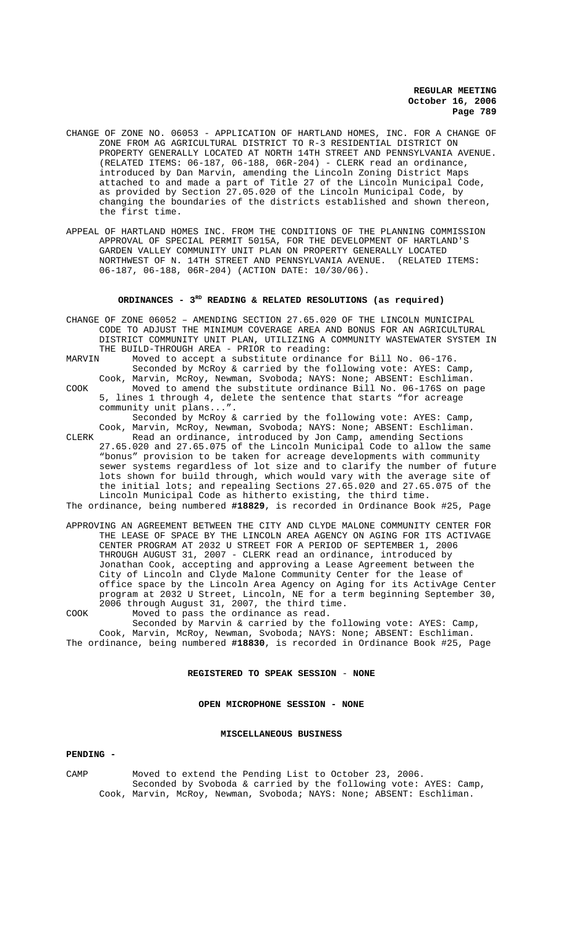- CHANGE OF ZONE NO. 06053 APPLICATION OF HARTLAND HOMES, INC. FOR A CHANGE OF ZONE FROM AG AGRICULTURAL DISTRICT TO R-3 RESIDENTIAL DISTRICT ON PROPERTY GENERALLY LOCATED AT NORTH 14TH STREET AND PENNSYLVANIA AVENUE. (RELATED ITEMS: 06-187, 06-188, 06R-204) - CLERK read an ordinance, introduced by Dan Marvin, amending the Lincoln Zoning District Maps attached to and made a part of Title 27 of the Lincoln Municipal Code, as provided by Section 27.05.020 of the Lincoln Municipal Code, by changing the boundaries of the districts established and shown thereon, the first time.
- APPEAL OF HARTLAND HOMES INC. FROM THE CONDITIONS OF THE PLANNING COMMISSION APPROVAL OF SPECIAL PERMIT 5015A, FOR THE DEVELOPMENT OF HARTLAND'S GARDEN VALLEY COMMUNITY UNIT PLAN ON PROPERTY GENERALLY LOCATED NORTHWEST OF N. 14TH STREET AND PENNSYLVANIA AVENUE. (RELATED ITEMS: 06-187, 06-188, 06R-204) (ACTION DATE: 10/30/06).

## ORDINANCES - 3<sup>RD</sup> READING & RELATED RESOLUTIONS (as required)

- CHANGE OF ZONE 06052 AMENDING SECTION 27.65.020 OF THE LINCOLN MUNICIPAL CODE TO ADJUST THE MINIMUM COVERAGE AREA AND BONUS FOR AN AGRICULTURAL DISTRICT COMMUNITY UNIT PLAN, UTILIZING A COMMUNITY WASTEWATER SYSTEM IN THE BUILD-THROUGH AREA - PRIOR to reading:<br>MARVIN Moved to accept a substitute ordinan
- Moved to accept a substitute ordinance for Bill No. 06-176. Seconded by McRoy & carried by the following vote: AYES: Camp,
- 

Cook, Marvin, McRoy, Newman, Svoboda; NAYS: None; ABSENT: Eschliman. COOK Moved to amend the substitute ordinance Bill No. 06-176S on page 5, lines 1 through 4, delete the sentence that starts "for acreage community unit plans...".

Seconded by McRoy & carried by the following vote: AYES: Camp, Cook, Marvin, McRoy, Newman, Svoboda; NAYS: None; ABSENT: Eschliman.

CLERK Read an ordinance, introduced by Jon Camp, amending Sections 27.65.020 and 27.65.075 of the Lincoln Municipal Code to allow the same "bonus" provision to be taken for acreage developments with community sewer systems regardless of lot size and to clarify the number of future lots shown for build through, which would vary with the average site of the initial lots; and repealing Sections 27.65.020 and 27.65.075 of the Lincoln Municipal Code as hitherto existing, the third time. The ordinance, being numbered **#18829**, is recorded in Ordinance Book #25, Page

- APPROVING AN AGREEMENT BETWEEN THE CITY AND CLYDE MALONE COMMUNITY CENTER FOR THE LEASE OF SPACE BY THE LINCOLN AREA AGENCY ON AGING FOR ITS ACTIVAGE CENTER PROGRAM AT 2032 U STREET FOR A PERIOD OF SEPTEMBER 1, 2006 THROUGH AUGUST 31, 2007 - CLERK read an ordinance, introduced by Jonathan Cook, accepting and approving a Lease Agreement between the City of Lincoln and Clyde Malone Community Center for the lease of office space by the Lincoln Area Agency on Aging for its ActivAge Center program at 2032 U Street, Lincoln, NE for a term beginning September 30, 2006 through August 31, 2007, the third time.
- COOK Moved to pass the ordinance as read.

Seconded by Marvin & carried by the following vote: AYES: Camp, Cook, Marvin, McRoy, Newman, Svoboda; NAYS: None; ABSENT: Eschliman. The ordinance, being numbered **#18830**, is recorded in Ordinance Book #25, Page

**REGISTERED TO SPEAK SESSION** - **NONE**

## **OPEN MICROPHONE SESSION - NONE**

#### **MISCELLANEOUS BUSINESS**

## **PENDING -**

CAMP Moved to extend the Pending List to October 23, 2006. Seconded by Svoboda & carried by the following vote: AYES: Camp, Cook, Marvin, McRoy, Newman, Svoboda; NAYS: None; ABSENT: Eschliman.